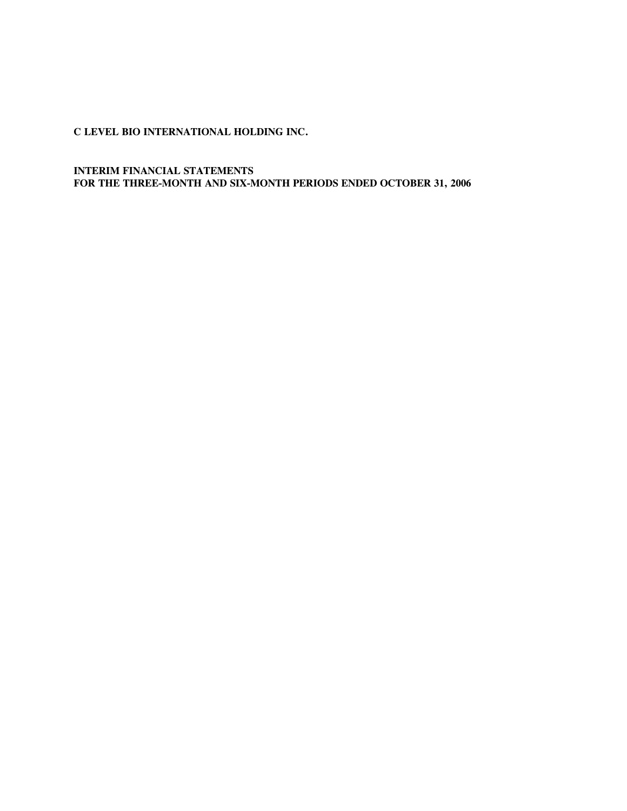**INTERIM FINANCIAL STATEMENTS FOR THE THREE-MONTH AND SIX-MONTH PERIODS ENDED OCTOBER 31, 2006**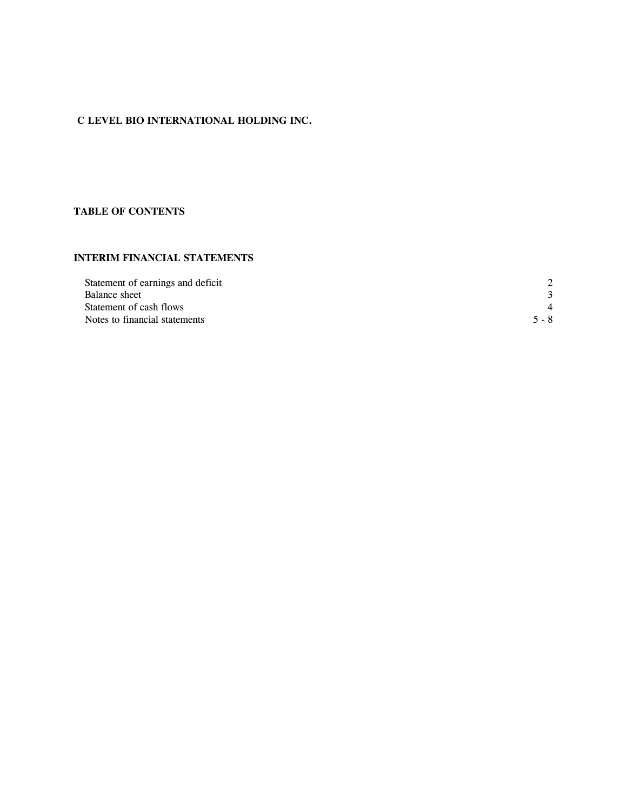# **TABLE OF CONTENTS**

# **INTERIM FINANCIAL STATEMENTS**

| Statement of earnings and deficit | $\mathcal{P}$         |
|-----------------------------------|-----------------------|
| Balance sheet                     |                       |
| Statement of cash flows           | $\boldsymbol{\Delta}$ |
| Notes to financial statements     | $5 - 8$               |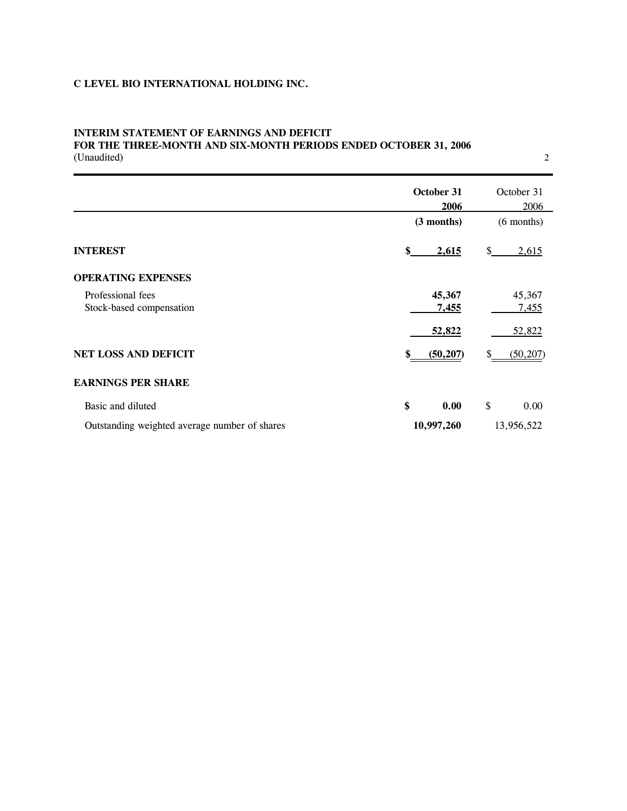# **INTERIM STATEMENT OF EARNINGS AND DEFICIT FOR THE THREE-MONTH AND SIX-MONTH PERIODS ENDED OCTOBER 31, 2006**  FOR THE THREE-MONTH AND SIX-MONTH PERIODS ENDED OCTOBER 31, 2006<br>(Unaudited) 2

|                                               | October 31       | October 31   |
|-----------------------------------------------|------------------|--------------|
|                                               | 2006             | 2006         |
|                                               | (3 months)       | $(6$ months) |
| <b>INTEREST</b>                               | 2,615<br>\$      | \$<br>2,615  |
| <b>OPERATING EXPENSES</b>                     |                  |              |
| Professional fees                             | 45,367           | 45,367       |
| Stock-based compensation                      | 7,455            | <u>7,455</u> |
|                                               | 52,822           | 52,822       |
| <b>NET LOSS AND DEFICIT</b>                   | (50, 207)<br>\$. | (50, 207)    |
| <b>EARNINGS PER SHARE</b>                     |                  |              |
| Basic and diluted                             | \$<br>0.00       | \$<br>0.00   |
| Outstanding weighted average number of shares | 10,997,260       | 13,956,522   |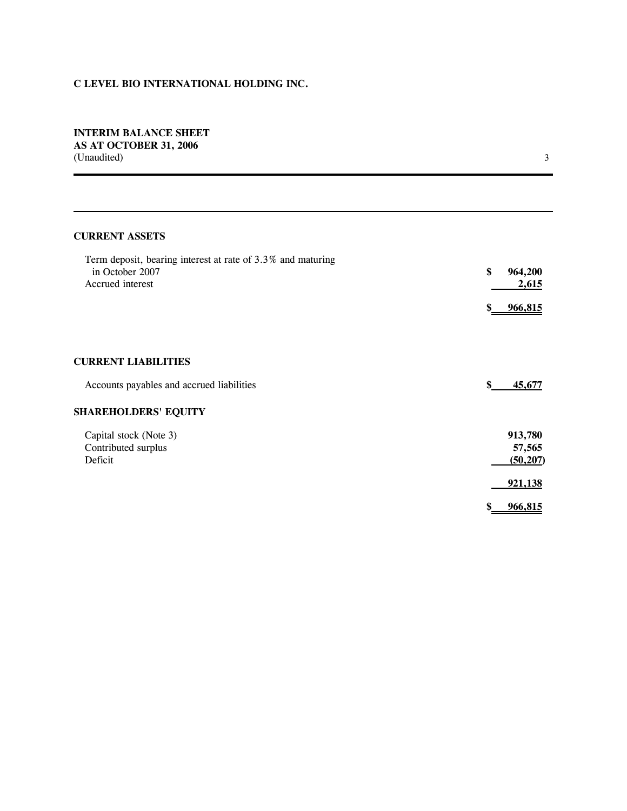# **INTERIM BALANCE SHEET AS AT OCTOBER 31, 2006**  AS AT OCTOBER 31, 2006<br>(Unaudited) 3

 $\mathbf{3}$ 

# **CURRENT ASSETS**

| Term deposit, bearing interest at rate of 3.3% and maturing<br>in October 2007<br>Accrued interest | \$<br>964,200<br>2,615 |
|----------------------------------------------------------------------------------------------------|------------------------|
|                                                                                                    | <u>966,815</u>         |
|                                                                                                    |                        |
| <b>CURRENT LIABILITIES</b>                                                                         |                        |
| Accounts payables and accrued liabilities                                                          | \$<br>45,677           |
| <b>SHAREHOLDERS' EQUITY</b>                                                                        |                        |
| Capital stock (Note 3)                                                                             | 913,780                |
| Contributed surplus                                                                                | 57,565                 |
| Deficit                                                                                            | (50, 207)              |
|                                                                                                    | 921,138                |
|                                                                                                    | 966,815                |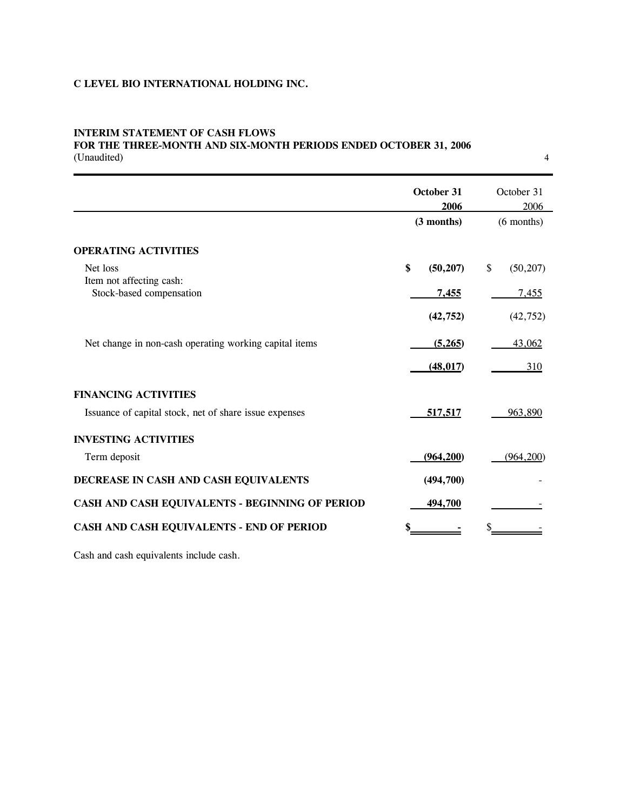# **INTERIM STATEMENT OF CASH FLOWS FOR THE THREE-MONTH AND SIX-MONTH PERIODS ENDED OCTOBER 31, 2006**  FOR THE THREE-MONTH AND SIX-MONTH PERIODS ENDED OCTOBER 31, 2006<br>(Unaudited) 4

|                                                        | October 31<br>2006<br>(3 months) | October 31<br>2006<br>$(6$ months) |  |
|--------------------------------------------------------|----------------------------------|------------------------------------|--|
|                                                        |                                  |                                    |  |
| <b>OPERATING ACTIVITIES</b>                            |                                  |                                    |  |
| Net loss                                               | \$<br>(50, 207)                  | \$<br>(50, 207)                    |  |
| Item not affecting cash:                               |                                  |                                    |  |
| Stock-based compensation                               | <u>7,455</u>                     | 7,455                              |  |
|                                                        | (42, 752)                        | (42, 752)                          |  |
| Net change in non-cash operating working capital items | (5,265)                          | 43,062                             |  |
|                                                        | (48, 017)                        | 310                                |  |
|                                                        |                                  |                                    |  |
| <b>FINANCING ACTIVITIES</b>                            |                                  |                                    |  |
| Issuance of capital stock, net of share issue expenses | 517,517                          | 963,890                            |  |
| <b>INVESTING ACTIVITIES</b>                            |                                  |                                    |  |
| Term deposit                                           | (964, 200)                       | (964, 200)                         |  |
| DECREASE IN CASH AND CASH EQUIVALENTS                  | (494,700)                        |                                    |  |
| CASH AND CASH EQUIVALENTS - BEGINNING OF PERIOD        | 494,700                          |                                    |  |
| CASH AND CASH EQUIVALENTS - END OF PERIOD              | \$                               |                                    |  |

Cash and cash equivalents include cash.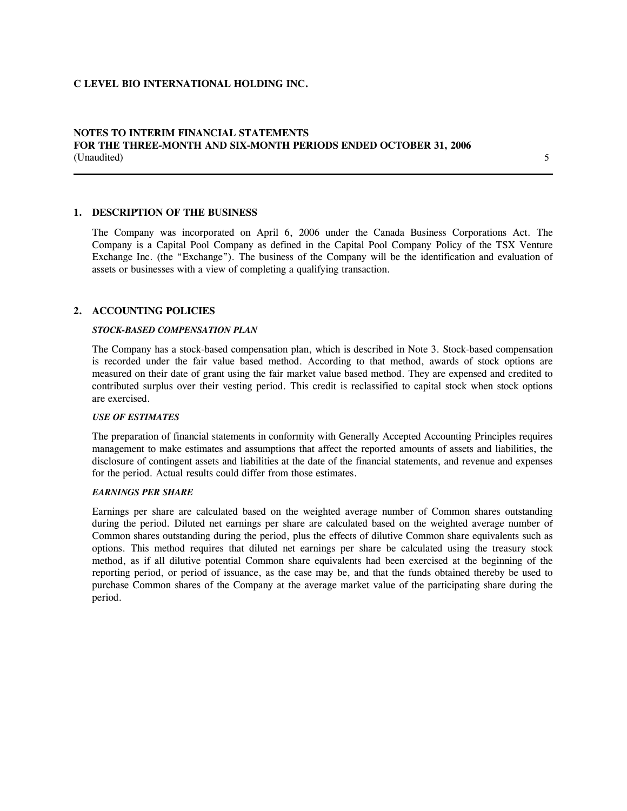# **NOTES TO INTERIM FINANCIAL STATEMENTS FOR THE THREE-MONTH AND SIX-MONTH PERIODS ENDED OCTOBER 31, 2006**  FOR THE THREE-MONTH AND SIX-MONTH PERIODS ENDED OCTOBER 31, 2006<br>(Unaudited) 5

# **1. DESCRIPTION OF THE BUSINESS**

The Company was incorporated on April 6, 2006 under the Canada Business Corporations Act. The Company is a Capital Pool Company as defined in the Capital Pool Company Policy of the TSX Venture Exchange Inc. (the "Exchange"). The business of the Company will be the identification and evaluation of assets or businesses with a view of completing a qualifying transaction.

# **2. ACCOUNTING POLICIES**

l

### *STOCK-BASED COMPENSATION PLAN*

The Company has a stock-based compensation plan, which is described in Note 3. Stock-based compensation is recorded under the fair value based method. According to that method, awards of stock options are measured on their date of grant using the fair market value based method. They are expensed and credited to contributed surplus over their vesting period. This credit is reclassified to capital stock when stock options are exercised.

# *USE OF ESTIMATES*

The preparation of financial statements in conformity with Generally Accepted Accounting Principles requires management to make estimates and assumptions that affect the reported amounts of assets and liabilities, the disclosure of contingent assets and liabilities at the date of the financial statements, and revenue and expenses for the period. Actual results could differ from those estimates.

### *EARNINGS PER SHARE*

Earnings per share are calculated based on the weighted average number of Common shares outstanding during the period. Diluted net earnings per share are calculated based on the weighted average number of Common shares outstanding during the period, plus the effects of dilutive Common share equivalents such as options. This method requires that diluted net earnings per share be calculated using the treasury stock method, as if all dilutive potential Common share equivalents had been exercised at the beginning of the reporting period, or period of issuance, as the case may be, and that the funds obtained thereby be used to purchase Common shares of the Company at the average market value of the participating share during the period.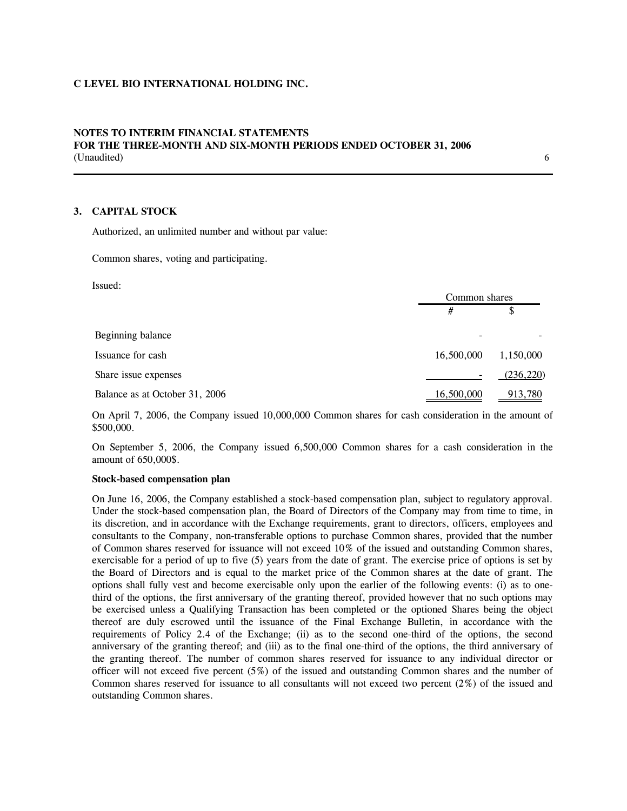# **NOTES TO INTERIM FINANCIAL STATEMENTS FOR THE THREE-MONTH AND SIX-MONTH PERIODS ENDED OCTOBER 31, 2006**  FOR THE THREE-MONTH AND SIX-MONTH PERIODS ENDED OCTOBER 31, 2006<br>(Unaudited) 6

# **3. CAPITAL STOCK**

Issued:

Authorized, an unlimited number and without par value:

Common shares, voting and participating.

| Issued:                        |               |            |
|--------------------------------|---------------|------------|
|                                | Common shares |            |
|                                | #             | \$         |
| Beginning balance              |               |            |
| Issuance for cash              | 16,500,000    | 1,150,000  |
| Share issue expenses           |               | (236, 220) |
| Balance as at October 31, 2006 | 16,500,000    | 913,780    |

On April 7, 2006, the Company issued 10,000,000 Common shares for cash consideration in the amount of \$500,000.

On September 5, 2006, the Company issued 6,500,000 Common shares for a cash consideration in the amount of 650,000\$.

# **Stock-based compensation plan**

On June 16, 2006, the Company established a stock-based compensation plan, subject to regulatory approval. Under the stock-based compensation plan, the Board of Directors of the Company may from time to time, in its discretion, and in accordance with the Exchange requirements, grant to directors, officers, employees and consultants to the Company, non-transferable options to purchase Common shares, provided that the number of Common shares reserved for issuance will not exceed 10% of the issued and outstanding Common shares, exercisable for a period of up to five (5) years from the date of grant. The exercise price of options is set by the Board of Directors and is equal to the market price of the Common shares at the date of grant. The options shall fully vest and become exercisable only upon the earlier of the following events: (i) as to onethird of the options, the first anniversary of the granting thereof, provided however that no such options may be exercised unless a Qualifying Transaction has been completed or the optioned Shares being the object thereof are duly escrowed until the issuance of the Final Exchange Bulletin, in accordance with the requirements of Policy 2.4 of the Exchange; (ii) as to the second one-third of the options, the second anniversary of the granting thereof; and (iii) as to the final one-third of the options, the third anniversary of the granting thereof. The number of common shares reserved for issuance to any individual director or officer will not exceed five percent (5%) of the issued and outstanding Common shares and the number of Common shares reserved for issuance to all consultants will not exceed two percent (2%) of the issued and outstanding Common shares.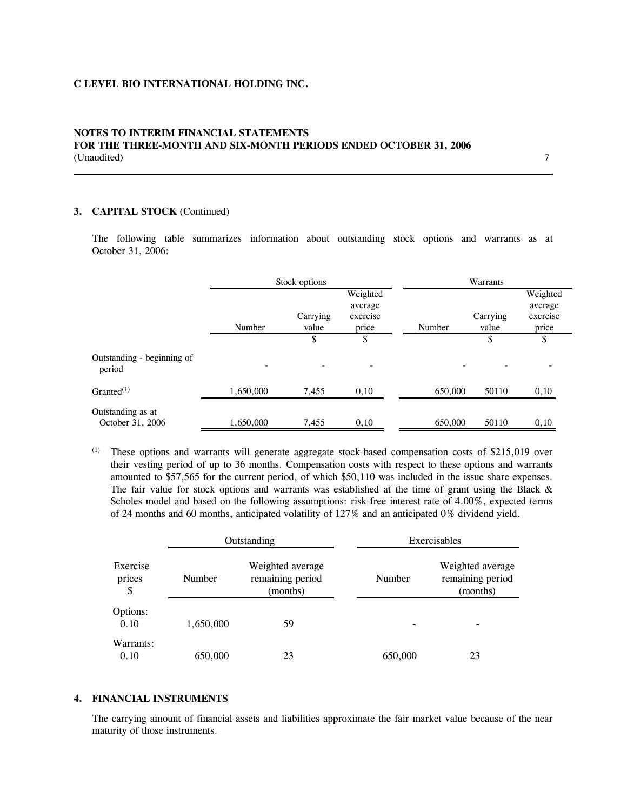# **NOTES TO INTERIM FINANCIAL STATEMENTS FOR THE THREE-MONTH AND SIX-MONTH PERIODS ENDED OCTOBER 31, 2006**  FOR THE THREE-MONTH AND SIX-MONTH PERIODS ENDED OCTOBER 31, 2006<br>(Unaudited)

# **3. CAPITAL STOCK** (Continued)

The following table summarizes information about outstanding stock options and warrants as at October 31, 2006:

|                                       | Stock options |                          |                                          | Warrants |                   |                                          |
|---------------------------------------|---------------|--------------------------|------------------------------------------|----------|-------------------|------------------------------------------|
|                                       | Number        | Carrying<br>value        | Weighted<br>average<br>exercise<br>price | Number   | Carrying<br>value | Weighted<br>average<br>exercise<br>price |
|                                       |               | \$                       | \$                                       |          | \$                | \$                                       |
| Outstanding - beginning of<br>period  |               | $\overline{\phantom{a}}$ | $\overline{\phantom{0}}$                 |          |                   |                                          |
| Granted $(1)$                         | 1,650,000     | 7,455                    | 0,10                                     | 650,000  | 50110             | 0,10                                     |
| Outstanding as at<br>October 31, 2006 | 1,650,000     | 7,455                    | 0,10                                     | 650,000  | 50110             | 0,10                                     |

(1) These options and warrants will generate aggregate stock-based compensation costs of \$215,019 over their vesting period of up to 36 months. Compensation costs with respect to these options and warrants amounted to \$57,565 for the current period, of which \$50,110 was included in the issue share expenses. The fair value for stock options and warrants was established at the time of grant using the Black  $\&$ Scholes model and based on the following assumptions: risk-free interest rate of 4.00%, expected terms of 24 months and 60 months, anticipated volatility of 127% and an anticipated 0% dividend yield.

|                          | Outstanding |                                                  | Exercisables |                                                  |
|--------------------------|-------------|--------------------------------------------------|--------------|--------------------------------------------------|
| Exercise<br>prices<br>\$ | Number      | Weighted average<br>remaining period<br>(months) | Number       | Weighted average<br>remaining period<br>(months) |
| Options:<br>0.10         | 1,650,000   | 59                                               |              |                                                  |
| Warrants:<br>0.10        | 650,000     | 23                                               | 650,000      | 23                                               |

#### **4. FINANCIAL INSTRUMENTS**

The carrying amount of financial assets and liabilities approximate the fair market value because of the near maturity of those instruments.